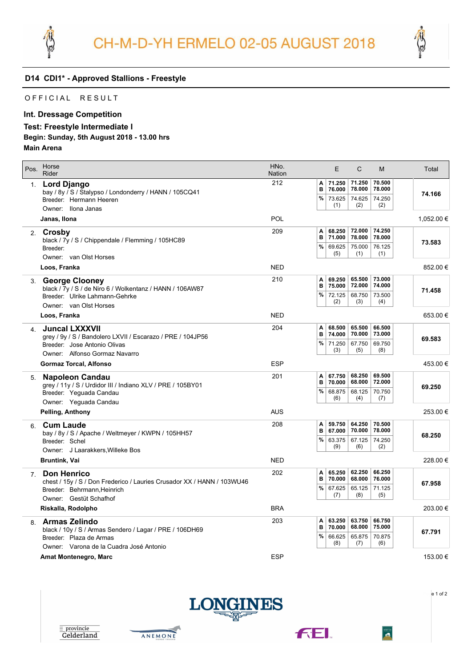



# **D14 CDI1\* - Approved Stallions - Freestyle**

### OFFICIAL RESULT

## **Int. Dressage Competition**

#### **Test: Freestyle Intermediate I**

#### **Begin: Sunday, 5th August 2018 - 13.00 hrs**

**Main Arena**

| Pos.           | Horse<br>Rider                                                                                                                                        | HNo.<br><b>Nation</b> | E<br>C<br>M                                                                                                                | Total      |
|----------------|-------------------------------------------------------------------------------------------------------------------------------------------------------|-----------------------|----------------------------------------------------------------------------------------------------------------------------|------------|
| 1.             | Lord Django<br>bay / 8y / S / Stalypso / Londonderry / HANN / 105CQ41<br>Breeder: Hermann Heeren<br>Owner: Ilona Janas                                | 212                   | 71.250<br>70.500<br>71.250<br>Α<br>B<br>76.000<br>78.000<br>78.000<br>%<br>74.250<br>73.625<br>74.625<br>(2)<br>(2)<br>(1) | 74.166     |
|                | Janas, Ilona                                                                                                                                          | POL                   |                                                                                                                            | 1,052.00 € |
| 2.             | Crosby<br>black / 7y / S / Chippendale / Flemming / 105HC89<br>Breeder:<br>Owner: van Olst Horses                                                     | 209                   | 74.250<br>68.250<br>72.000<br>Α<br>B<br>78.000<br>71.000<br>78.000<br>%<br>76.125<br>69.625<br>75.000<br>(5)<br>(1)<br>(1) | 73.583     |
|                | Loos, Franka                                                                                                                                          | <b>NED</b>            |                                                                                                                            | 852.00€    |
| 3.             | <b>George Clooney</b><br>black / 7y / S / de Niro 6 / Wolkentanz / HANN / 106AW87<br>Breeder: Ulrike Lahmann-Gehrke<br>Owner: van Olst Horses         | 210                   | 65.500<br>73.000<br>69.250<br>Α<br>B<br>75.000<br>72.000<br>74.000<br>%<br>73.500<br>72.125<br>68.750<br>(2)<br>(3)<br>(4) | 71.458     |
|                | Loos, Franka                                                                                                                                          | <b>NED</b>            |                                                                                                                            | 653.00€    |
| 4              | <b>Juncal LXXXVII</b><br>grey / 9y / S / Bandolero LXVII / Escarazo / PRE / 104JP56<br>Breeder: Jose Antonio Olivas<br>Owner: Alfonso Gormaz Navarro  | 204                   | 66.500<br>65.500<br>68.500<br>Α<br>в<br>74.000<br>70.000<br>73.000<br>%<br>69.750<br>71.250<br>67.750<br>(3)<br>(5)<br>(8) | 69.583     |
|                | <b>Gormaz Torcal, Alfonso</b>                                                                                                                         | <b>ESP</b>            |                                                                                                                            | 453.00 €   |
| 5.             | Napoleon Candau<br>grey / 11y / S / Urdidor III / Indiano XLV / PRE / 105BY01<br>Breeder: Yeguada Candau<br>Owner: Yeguada Candau                     | 201                   | 68.250<br>69.500<br>67.750<br>Α<br>В<br>70.000<br>68.000<br>72.000<br>%<br>68.875<br>68.125<br>70.750<br>(6)<br>(4)<br>(7) | 69.250     |
|                | Pelling, Anthony                                                                                                                                      | <b>AUS</b>            |                                                                                                                            | 253.00€    |
| 6.             | <b>Cum Laude</b><br>bay / 8y / S / Apache / Weltmeyer / KWPN / 105HH57<br>Breeder: Schel<br>Owner: J Laarakkers, Willeke Bos                          | 208                   | 70.500<br>64.250<br>59.750<br>А<br>в<br>67.000<br>70.000<br>78.000<br>%<br>63.375<br>67.125<br>74.250<br>(9)<br>(6)<br>(2) | 68.250     |
|                | <b>Bruntink, Vai</b>                                                                                                                                  | <b>NED</b>            |                                                                                                                            | 228.00€    |
| 7 <sup>1</sup> | <b>Don Henrico</b><br>chest / 15y / S / Don Frederico / Lauries Crusador XX / HANN / 103WU46<br>Breeder: Behrmann, Heinrich<br>Owner: Gestüt Schafhof | 202                   | 62.250<br>66.250<br>65.250<br>A<br>в<br>68.000<br>76.000<br>70.000<br>%<br>71.125<br>67.625<br>65.125<br>(8)<br>(7)<br>(5) | 67.958     |
|                | Riskalla, Rodolpho                                                                                                                                    | <b>BRA</b>            |                                                                                                                            | 203.00€    |
|                | 8. Armas Zelindo<br>black / 10y / S / Armas Sendero / Lagar / PRE / 106DH69<br>Breeder: Plaza de Armas<br>Owner: Varona de la Cuadra José Antonio     | 203                   | 63.750<br>66.750<br>63.250<br>A<br>B<br>68.000<br>75.000<br>70.000<br>%<br>70.875<br>66.625<br>65.875<br>(8)<br>(7)<br>(6) | 67.791     |
|                | Amat Montenegro, Marc                                                                                                                                 | <b>ESP</b>            |                                                                                                                            | 153.00 €   |

e 1 of 2





ANEMONE





 $\frac{WBFSH}{HQ}$